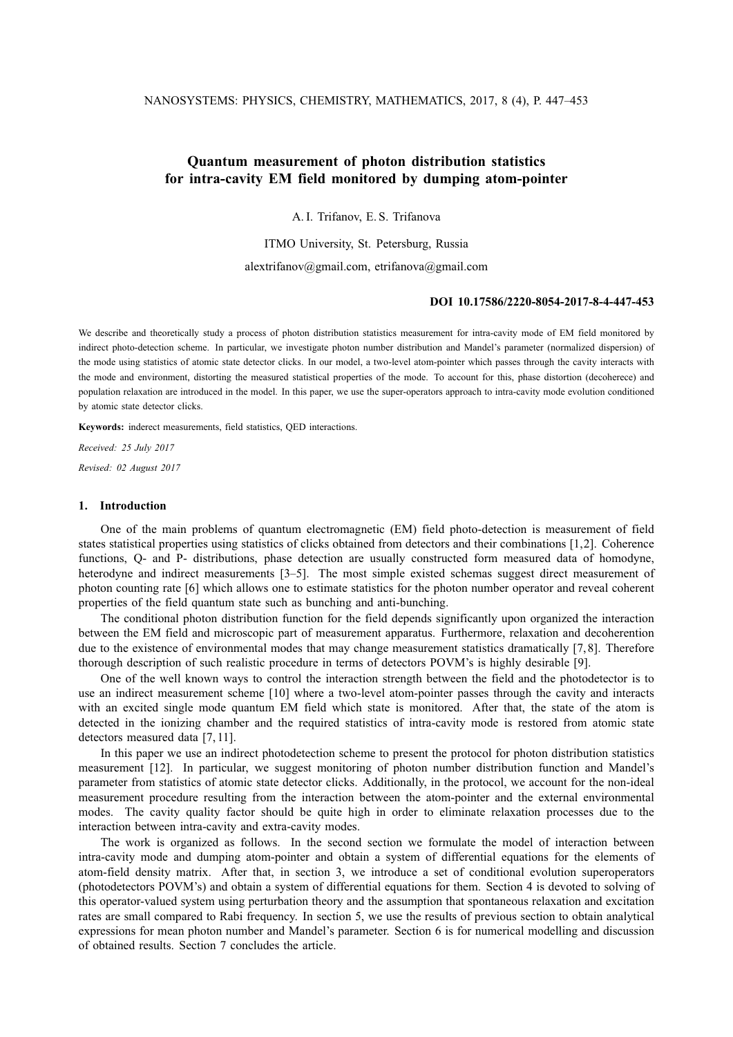# **Quantum measurement of photon distribution statistics for intra-cavity EM field monitored by dumping atom-pointer**

A. I. Trifanov, E. S. Trifanova

ITMO University, St. Petersburg, Russia

alextrifanov@gmail.com, etrifanova@gmail.com

### **DOI 10.17586/2220-8054-2017-8-4-447-453**

We describe and theoretically study a process of photon distribution statistics measurement for intra-cavity mode of EM field monitored by indirect photo-detection scheme. In particular, we investigate photon number distribution and Mandel's parameter (normalized dispersion) of the mode using statistics of atomic state detector clicks. In our model, a two-level atom-pointer which passes through the cavity interacts with the mode and environment, distorting the measured statistical properties of the mode. To account for this, phase distortion (decoherece) and population relaxation are introduced in the model. In this paper, we use the super-operators approach to intra-cavity mode evolution conditioned by atomic state detector clicks.

**Keywords:** inderect measurements, field statistics, QED interactions.

*Received: 25 July 2017 Revised: 02 August 2017*

## **1. Introduction**

One of the main problems of quantum electromagnetic (EM) field photo-detection is measurement of field states statistical properties using statistics of clicks obtained from detectors and their combinations [1,2]. Coherence functions, Q- and P- distributions, phase detection are usually constructed form measured data of homodyne, heterodyne and indirect measurements [3–5]. The most simple existed schemas suggest direct measurement of photon counting rate [6] which allows one to estimate statistics for the photon number operator and reveal coherent properties of the field quantum state such as bunching and anti-bunching.

The conditional photon distribution function for the field depends significantly upon organized the interaction between the EM field and microscopic part of measurement apparatus. Furthermore, relaxation and decoherention due to the existence of environmental modes that may change measurement statistics dramatically [7,8]. Therefore thorough description of such realistic procedure in terms of detectors POVM's is highly desirable [9].

One of the well known ways to control the interaction strength between the field and the photodetector is to use an indirect measurement scheme [10] where a two-level atom-pointer passes through the cavity and interacts with an excited single mode quantum EM field which state is monitored. After that, the state of the atom is detected in the ionizing chamber and the required statistics of intra-cavity mode is restored from atomic state detectors measured data [7, 11].

In this paper we use an indirect photodetection scheme to present the protocol for photon distribution statistics measurement [12]. In particular, we suggest monitoring of photon number distribution function and Mandel's parameter from statistics of atomic state detector clicks. Additionally, in the protocol, we account for the non-ideal measurement procedure resulting from the interaction between the atom-pointer and the external environmental modes. The cavity quality factor should be quite high in order to eliminate relaxation processes due to the interaction between intra-cavity and extra-cavity modes.

The work is organized as follows. In the second section we formulate the model of interaction between intra-cavity mode and dumping atom-pointer and obtain a system of differential equations for the elements of atom-field density matrix. After that, in section 3, we introduce a set of conditional evolution superoperators (photodetectors POVM's) and obtain a system of differential equations for them. Section 4 is devoted to solving of this operator-valued system using perturbation theory and the assumption that spontaneous relaxation and excitation rates are small compared to Rabi frequency. In section 5, we use the results of previous section to obtain analytical expressions for mean photon number and Mandel's parameter. Section 6 is for numerical modelling and discussion of obtained results. Section 7 concludes the article.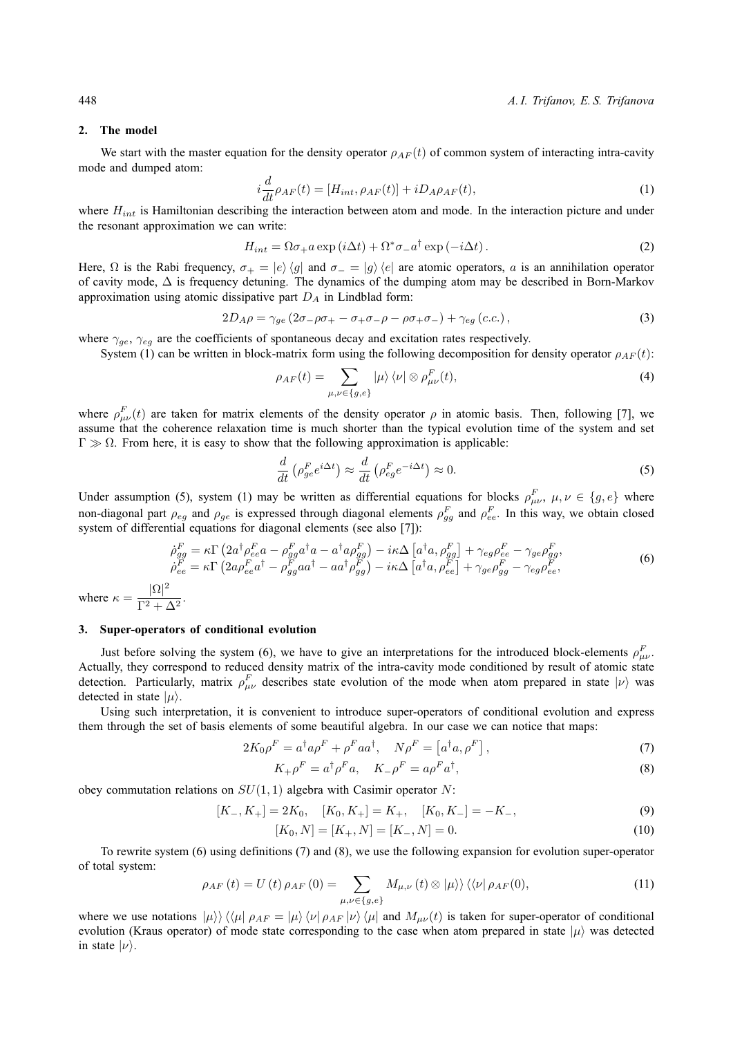#### **2. The model**

We start with the master equation for the density operator  $\rho_{AF}(t)$  of common system of interacting intra-cavity mode and dumped atom:

$$
i\frac{d}{dt}\rho_{AF}(t) = [H_{int}, \rho_{AF}(t)] + iD_{A}\rho_{AF}(t), \qquad (1)
$$

where  $H_{int}$  is Hamiltonian describing the interaction between atom and mode. In the interaction picture and under the resonant approximation we can write:

$$
H_{int} = \Omega \sigma_+ a \exp(i\Delta t) + \Omega^* \sigma_- a^\dagger \exp(-i\Delta t). \tag{2}
$$

Here,  $\Omega$  is the Rabi frequency,  $\sigma_+ = |e\rangle\langle g|$  and  $\sigma_- = |g\rangle\langle e|$  are atomic operators, a is an annihilation operator of cavity mode, ∆ is frequency detuning. The dynamics of the dumping atom may be described in Born-Markov approximation using atomic dissipative part  $D_A$  in Lindblad form:

$$
2D_A \rho = \gamma_{ge} \left(2\sigma_- \rho \sigma_+ - \sigma_+ \sigma_- \rho - \rho \sigma_+ \sigma_- \right) + \gamma_{eg} \left(c.c.\right),\tag{3}
$$

where  $\gamma_{ge}$ ,  $\gamma_{eg}$  are the coefficients of spontaneous decay and excitation rates respectively.

System (1) can be written in block-matrix form using the following decomposition for density operator  $\rho_{AF}(t)$ :

$$
\rho_{AF}(t) = \sum_{\mu,\nu \in \{g,e\}} |\mu\rangle \langle \nu| \otimes \rho_{\mu\nu}^F(t), \tag{4}
$$

where  $\rho_{\mu\nu}^F(t)$  are taken for matrix elements of the density operator  $\rho$  in atomic basis. Then, following [7], we assume that the coherence relaxation time is much shorter than the typical evolution time of the system and set  $Γ$   $\gg$   $Ω$ . From here, it is easy to show that the following approximation is applicable:

$$
\frac{d}{dt}\left(\rho_{ge}^F e^{i\Delta t}\right) \approx \frac{d}{dt}\left(\rho_{eg}^F e^{-i\Delta t}\right) \approx 0.
$$
\n(5)

Under assumption (5), system (1) may be written as differential equations for blocks  $\rho_{\mu\nu}^F$ ,  $\mu, \nu \in \{g, e\}$  where non-diagonal part  $\rho_{eg}$  and  $\rho_{ge}$  is expressed through diagonal elements  $\rho_{gg}^F$  and  $\rho_{ee}^F$ . In this way, we obtain closed system of differential equations for diagonal elements (see also [7]):

$$
\dot{\rho}_{gg}^F = \kappa \Gamma \left( 2a^\dagger \rho_{ee}^F a - \rho_{gg}^F a^\dagger a - a^\dagger a \rho_{gg}^F \right) - i\kappa \Delta \left[ a^\dagger a, \rho_{gg}^F \right] + \gamma_{eg} \rho_{ee}^F - \gamma_{ge} \rho_{gg}^F,
$$
\n
$$
\dot{\rho}_{ee}^F = \kappa \Gamma \left( 2a \rho_{ee}^F a^\dagger - \rho_{gg}^F a a^\dagger - a a^\dagger \rho_{gg}^F \right) - i\kappa \Delta \left[ a^\dagger a, \rho_{ee}^F \right] + \gamma_{ge} \rho_{gg}^F - \gamma_{eg} \rho_{ee}^F,
$$
\n(6)

where  $\kappa = \frac{|\Omega|^2}{\Gamma^2}$  $\frac{1}{\Gamma^2 + \Delta^2}$ .

## **3. Super-operators of conditional evolution**

Just before solving the system (6), we have to give an interpretations for the introduced block-elements  $\rho_{\mu\nu}^F$ . Actually, they correspond to reduced density matrix of the intra-cavity mode conditioned by result of atomic state detection. Particularly, matrix  $\rho_{\mu\nu}^F$  describes state evolution of the mode when atom prepared in state  $|\nu\rangle$  was detected in state  $|\mu\rangle$ .

Using such interpretation, it is convenient to introduce super-operators of conditional evolution and express them through the set of basis elements of some beautiful algebra. In our case we can notice that maps:

$$
2K_0 \rho^F = a^\dagger a \rho^F + \rho^F a a^\dagger, \quad N \rho^F = \left[ a^\dagger a, \rho^F \right], \tag{7}
$$

$$
K_{+}\rho^{F} = a^{\dagger}\rho^{F}a, \quad K_{-}\rho^{F} = a\rho^{F}a^{\dagger}, \tag{8}
$$

obey commutation relations on  $SU(1,1)$  algebra with Casimir operator N:

$$
[K_-, K_+] = 2K_0, \quad [K_0, K_+] = K_+, \quad [K_0, K_-] = -K_-, \tag{9}
$$

$$
[K_0, N] = [K_+, N] = [K_-, N] = 0.
$$
\n<sup>(10)</sup>

To rewrite system (6) using definitions (7) and (8), we use the following expansion for evolution super-operator of total system:

$$
\rho_{AF}(t) = U(t)\,\rho_{AF}(0) = \sum_{\mu,\nu \in \{g,e\}} M_{\mu,\nu}(t) \otimes |\mu\rangle\rangle \langle\langle\nu|\,\rho_{AF}(0),\tag{11}
$$

where we use notations  $|\mu\rangle\rangle\langle\langle\mu|\rho_{AF} = |\mu\rangle\langle\nu|\rho_{AF}|\nu\rangle\langle\mu|$  and  $M_{\mu\nu}(t)$  is taken for super-operator of conditional evolution (Kraus operator) of mode state corresponding to the case when atom prepared in state  $|\mu\rangle$  was detected in state  $|\nu\rangle$ .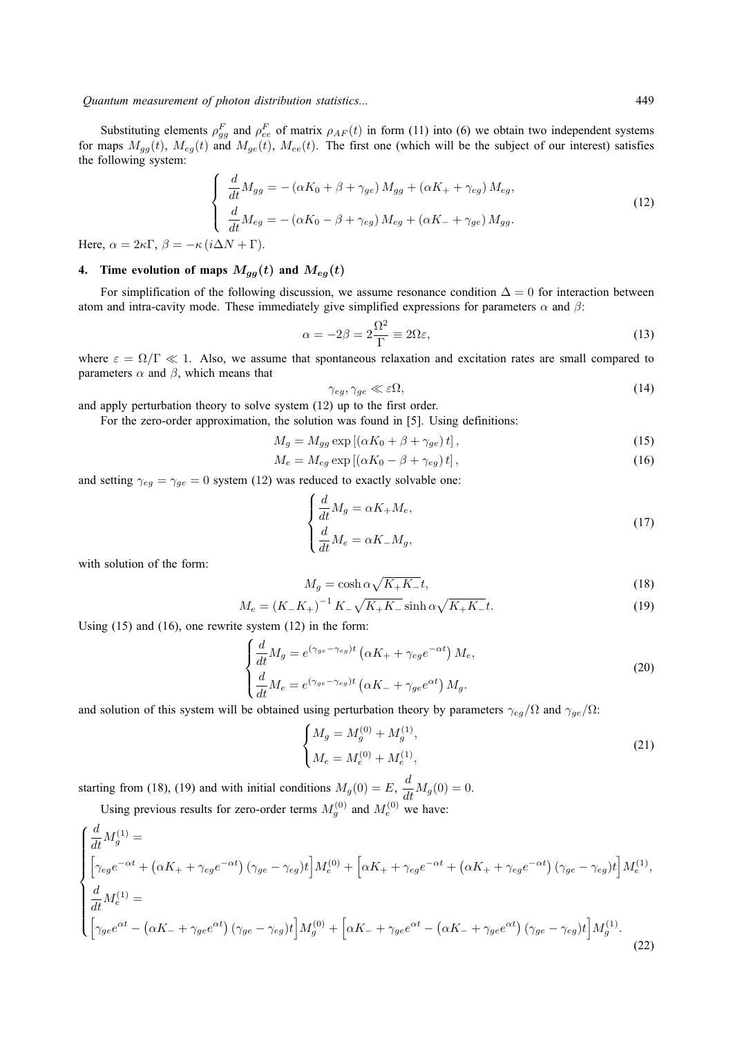*Quantum measurement of photon distribution statistics...* 449

Substituting elements  $\rho_{gg}^F$  and  $\rho_{ee}^F$  of matrix  $\rho_{AF}(t)$  in form (11) into (6) we obtain two independent systems for maps  $M_{gg}(t)$ ,  $M_{eg}(t)$  and  $M_{ge}(t)$ ,  $M_{ee}(t)$ . The first one (which will be the subject of our interest) satisfies the following system:

$$
\begin{cases}\n\frac{d}{dt}M_{gg} = -(\alpha K_0 + \beta + \gamma_{ge}) M_{gg} + (\alpha K_+ + \gamma_{eg}) M_{eg}, \\
\frac{d}{dt}M_{eg} = -(\alpha K_0 - \beta + \gamma_{eg}) M_{eg} + (\alpha K_- + \gamma_{ge}) M_{gg}.\n\end{cases}
$$
\n(12)

Here,  $\alpha = 2\kappa\Gamma$ ,  $\beta = -\kappa (i\Delta N + \Gamma)$ .

# **4.** Time evolution of maps  $M_{gg}(t)$  and  $M_{eg}(t)$

For simplification of the following discussion, we assume resonance condition  $\Delta = 0$  for interaction between atom and intra-cavity mode. These immediately give simplified expressions for parameters  $\alpha$  and  $\beta$ :

$$
\alpha = -2\beta = 2\frac{\Omega^2}{\Gamma} \equiv 2\Omega\varepsilon,\tag{13}
$$

where  $\varepsilon = \Omega/\Gamma \ll 1$ . Also, we assume that spontaneous relaxation and excitation rates are small compared to parameters  $\alpha$  and  $\beta$ , which means that

$$
\gamma_{eg}, \gamma_{ge} \ll \varepsilon \Omega,\tag{14}
$$

and apply perturbation theory to solve system (12) up to the first order.

For the zero-order approximation, the solution was found in [5]. Using definitions:

$$
M_g = M_{gg} \exp\left[ (\alpha K_0 + \beta + \gamma_{ge}) t \right],\tag{15}
$$

$$
M_e = M_{eg} \exp\left[ (\alpha K_0 - \beta + \gamma_{eg}) t \right],\tag{16}
$$

and setting  $\gamma_{eg} = \gamma_{ge} = 0$  system (12) was reduced to exactly solvable one:

$$
\begin{cases}\n\frac{d}{dt}M_g = \alpha K_+ M_e, \\
\frac{d}{dt}M_e = \alpha K_- M_g,\n\end{cases}
$$
\n(17)

with solution of the form:

$$
M_g = \cosh \alpha \sqrt{K_+ K_-} t,\tag{18}
$$

$$
M_e = (K_-K_+)^{-1} K_- \sqrt{K_+K_-} \sinh \alpha \sqrt{K_+K_-} t.
$$
 (19)

Using (15) and (16), one rewrite system (12) in the form:

$$
\begin{cases}\n\frac{d}{dt}M_g = e^{(\gamma_{ge} - \gamma_{eg})t} \left( \alpha K_+ + \gamma_{eg} e^{-\alpha t} \right) M_e, \\
\frac{d}{dt}M_e = e^{(\gamma_{ge} - \gamma_{eg})t} \left( \alpha K_- + \gamma_{ge} e^{\alpha t} \right) M_g.\n\end{cases}
$$
\n(20)

and solution of this system will be obtained using perturbation theory by parameters  $\gamma_{eq}/\Omega$  and  $\gamma_{qe}/\Omega$ :

$$
\begin{cases}\nM_g = M_g^{(0)} + M_g^{(1)}, \\
M_e = M_e^{(0)} + M_e^{(1)},\n\end{cases}
$$
\n(21)

starting from (18), (19) and with initial conditions  $M_g(0) = E$ ,  $\frac{d}{dt} M_g(0) = 0$ .

Using previous results for zero-order terms  $M_g^{(0)}$  and  $M_e^{(0)}$  we have:

$$
\begin{cases}\n\frac{d}{dt}M_g^{(1)} = \\
\left[\gamma_{eg}e^{-\alpha t} + (\alpha K_+ + \gamma_{eg}e^{-\alpha t})(\gamma_{ge} - \gamma_{eg})t\right]M_e^{(0)} + \left[\alpha K_+ + \gamma_{eg}e^{-\alpha t} + (\alpha K_+ + \gamma_{eg}e^{-\alpha t})(\gamma_{ge} - \gamma_{eg})t\right]M_e^{(1)}, \\
\frac{d}{dt}M_e^{(1)} = \\
\left[\gamma_{ge}e^{\alpha t} - (\alpha K_- + \gamma_{ge}e^{\alpha t})(\gamma_{ge} - \gamma_{eg})t\right]M_g^{(0)} + \left[\alpha K_- + \gamma_{ge}e^{\alpha t} - (\alpha K_- + \gamma_{ge}e^{\alpha t})(\gamma_{ge} - \gamma_{eg})t\right]M_g^{(1)}.\n\end{cases}
$$
\n(22)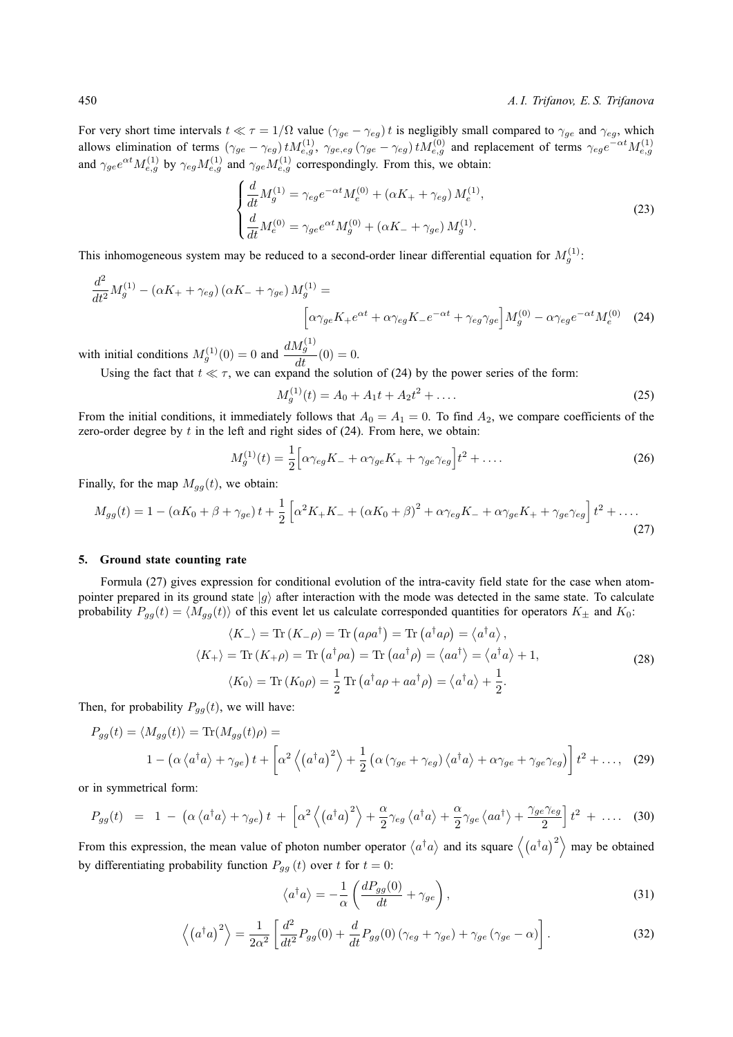For very short time intervals  $t \ll \tau = 1/\Omega$  value  $(\gamma_{ge} - \gamma_{eg}) t$  is negligibly small compared to  $\gamma_{ge}$  and  $\gamma_{eg}$ , which allows elimination of terms  $(\gamma_{ge} - \gamma_{eg}) t M_{e,g}^{(1)}, \gamma_{ge,eg} (\gamma_{ge} - \gamma_{eg}) t M_{e,g}^{(0)}$  and replacement of terms  $\gamma_{eg} e^{-\alpha t} M_{e,g}^{(1)}$ and  $\gamma_{ge}e^{\alpha t}M_{e,g}^{(1)}$  by  $\gamma_{eg}M_{e,g}^{(1)}$  and  $\gamma_{ge}M_{e,g}^{(1)}$  correspondingly. From this, we obtain:

$$
\begin{cases}\n\frac{d}{dt}M_g^{(1)} = \gamma_{eg}e^{-\alpha t}M_e^{(0)} + (\alpha K_+ + \gamma_{eg})M_e^{(1)},\\
\frac{d}{dt}M_e^{(0)} = \gamma_{ge}e^{\alpha t}M_g^{(0)} + (\alpha K_- + \gamma_{ge})M_g^{(1)}.\n\end{cases}
$$
\n(23)

This inhomogeneous system may be reduced to a second-order linear differential equation for  $M_g^{(1)}$ :

$$
\frac{d^2}{dt^2}M_g^{(1)} - (\alpha K_+ + \gamma_{eg})(\alpha K_- + \gamma_{ge})M_g^{(1)} =
$$
\n
$$
\left[\alpha \gamma_{ge} K_+ e^{\alpha t} + \alpha \gamma_{eg} K_- e^{-\alpha t} + \gamma_{eg} \gamma_{ge}\right]M_g^{(0)} - \alpha \gamma_{eg} e^{-\alpha t}M_e^{(0)}
$$
\n(24)

with initial conditions  $M_g^{(1)}(0) = 0$  and  $\frac{dM_g^{(1)}}{dt}(0) = 0$ .

Using the fact that  $t \ll \tau$ , we can expand the solution of (24) by the power series of the form:

$$
M_g^{(1)}(t) = A_0 + A_1 t + A_2 t^2 + \dots
$$
\n(25)

From the initial conditions, it immediately follows that  $A_0 = A_1 = 0$ . To find  $A_2$ , we compare coefficients of the zero-order degree by  $t$  in the left and right sides of  $(24)$ . From here, we obtain:

$$
M_g^{(1)}(t) = \frac{1}{2} \Big[ \alpha \gamma_{eg} K_- + \alpha \gamma_{ge} K_+ + \gamma_{ge} \gamma_{eg} \Big] t^2 + \dots \tag{26}
$$

Finally, for the map  $M_{gg}(t)$ , we obtain:

$$
M_{gg}(t) = 1 - (\alpha K_0 + \beta + \gamma_{ge})t + \frac{1}{2} \left[ \alpha^2 K_+ K_- + (\alpha K_0 + \beta)^2 + \alpha \gamma_{eg} K_- + \alpha \gamma_{ge} K_+ + \gamma_{ge} \gamma_{eg} \right] t^2 + \dots
$$
\n(27)

#### **5. Ground state counting rate**

Formula (27) gives expression for conditional evolution of the intra-cavity field state for the case when atompointer prepared in its ground state  $|g\rangle$  after interaction with the mode was detected in the same state. To calculate probability  $P_{gg}(t) = \langle M_{gg}(t) \rangle$  of this event let us calculate corresponded quantities for operators  $K_{\pm}$  and  $K_0$ :

 $\sim$ 

$$
\langle K_{-} \rangle = \text{Tr} (K_{-}\rho) = \text{Tr} (a\rho a^{\dagger}) = \text{Tr} (a^{\dagger} a\rho) = \langle a^{\dagger} a \rangle,
$$
  

$$
\langle K_{+} \rangle = \text{Tr} (K_{+}\rho) = \text{Tr} (a^{\dagger} \rho a) = \text{Tr} (a a^{\dagger} \rho) = \langle a a^{\dagger} \rangle = \langle a^{\dagger} a \rangle + 1,
$$
  

$$
\langle K_{0} \rangle = \text{Tr} (K_{0}\rho) = \frac{1}{2} \text{Tr} (a^{\dagger} a\rho + a a^{\dagger} \rho) = \langle a^{\dagger} a \rangle + \frac{1}{2}.
$$
 (28)

Then, for probability  $P_{qq}(t)$ , we will have:

$$
P_{gg}(t) = \langle M_{gg}(t) \rangle = \text{Tr}(M_{gg}(t)\rho) =
$$
  

$$
1 - \left(\alpha \langle a^{\dagger} a \rangle + \gamma_{ge}\right)t + \left[\alpha^{2} \langle \left(a^{\dagger} a\right)^{2} \rangle + \frac{1}{2} \left(\alpha \left(\gamma_{ge} + \gamma_{eg}\right) \langle a^{\dagger} a \rangle + \alpha \gamma_{ge} + \gamma_{ge} \gamma_{eg}\right)\right] t^{2} + \dots, \quad (29)
$$

or in symmetrical form:

$$
P_{gg}(t) = 1 - \left(\alpha \left\langle a^{\dagger} a \right\rangle + \gamma_{ge} \right) t + \left[\alpha^2 \left\langle \left(a^{\dagger} a\right)^2 \right\rangle + \frac{\alpha}{2} \gamma_{eg} \left\langle a^{\dagger} a \right\rangle + \frac{\alpha}{2} \gamma_{ge} \left\langle a a^{\dagger} \right\rangle + \frac{\gamma_{ge} \gamma_{eg}}{2} \right] t^2 + \dots \quad (30)
$$

From this expression, the mean value of photon number operator  $\langle a^{\dagger} a \rangle$  and its square  $\langle (a^{\dagger} a)^2 \rangle$  may be obtained by differentiating probability function  $P_{gg}(t)$  over t for  $t = 0$ :

$$
\langle a^{\dagger} a \rangle = -\frac{1}{\alpha} \left( \frac{dP_{gg}(0)}{dt} + \gamma_{ge} \right),\tag{31}
$$

$$
\left\langle \left(a^{\dagger}a\right)^{2}\right\rangle =\frac{1}{2\alpha^{2}}\left[\frac{d^{2}}{dt^{2}}P_{gg}(0)+\frac{d}{dt}P_{gg}(0)\left(\gamma_{eg}+\gamma_{ge}\right)+\gamma_{ge}\left(\gamma_{ge}-\alpha\right)\right].
$$
\n(32)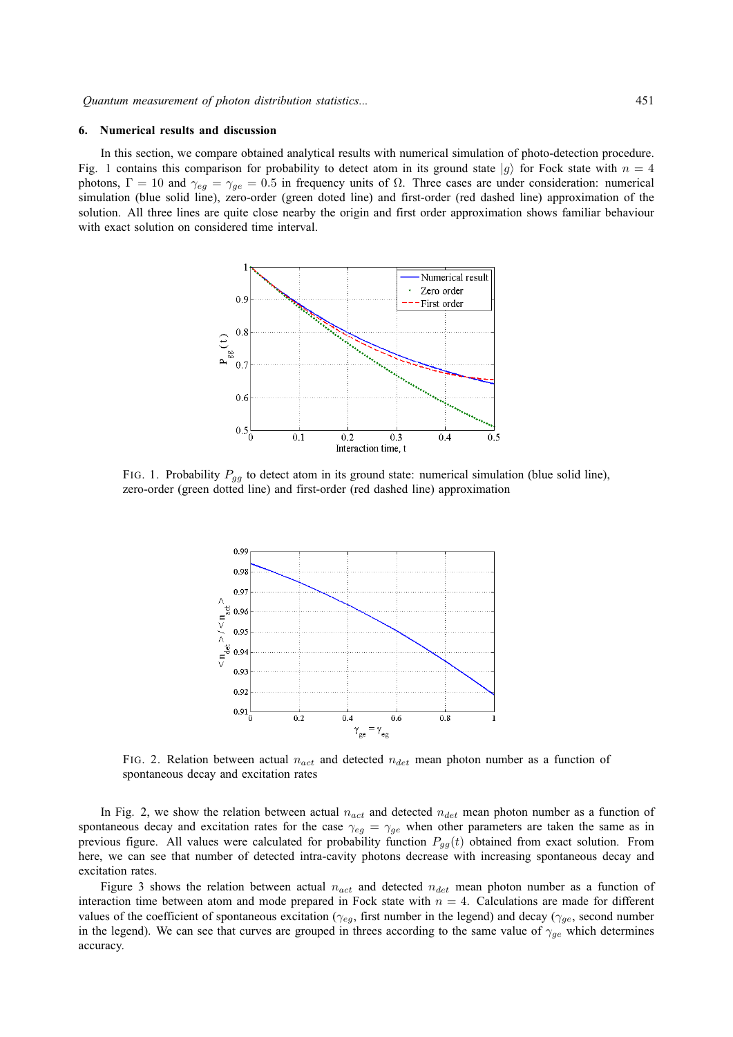#### **6. Numerical results and discussion**

In this section, we compare obtained analytical results with numerical simulation of photo-detection procedure. Fig. 1 contains this comparison for probability to detect atom in its ground state  $|g\rangle$  for Fock state with  $n = 4$ photons,  $\Gamma = 10$  and  $\gamma_{eq} = \gamma_{ge} = 0.5$  in frequency units of Ω. Three cases are under consideration: numerical simulation (blue solid line), zero-order (green doted line) and first-order (red dashed line) approximation of the solution. All three lines are quite close nearby the origin and first order approximation shows familiar behaviour with exact solution on considered time interval.



FIG. 1. Probability  $P_{gg}$  to detect atom in its ground state: numerical simulation (blue solid line), zero-order (green dotted line) and first-order (red dashed line) approximation



FIG. 2. Relation between actual  $n_{act}$  and detected  $n_{det}$  mean photon number as a function of spontaneous decay and excitation rates

In Fig. 2, we show the relation between actual  $n_{act}$  and detected  $n_{det}$  mean photon number as a function of spontaneous decay and excitation rates for the case  $\gamma_{eg} = \gamma_{ge}$  when other parameters are taken the same as in previous figure. All values were calculated for probability function  $P_{gg}(t)$  obtained from exact solution. From here, we can see that number of detected intra-cavity photons decrease with increasing spontaneous decay and excitation rates.

Figure 3 shows the relation between actual  $n_{act}$  and detected  $n_{det}$  mean photon number as a function of interaction time between atom and mode prepared in Fock state with  $n = 4$ . Calculations are made for different values of the coefficient of spontaneous excitation ( $\gamma_{eg}$ , first number in the legend) and decay ( $\gamma_{ge}$ , second number in the legend). We can see that curves are grouped in threes according to the same value of  $\gamma_{ge}$  which determines accuracy.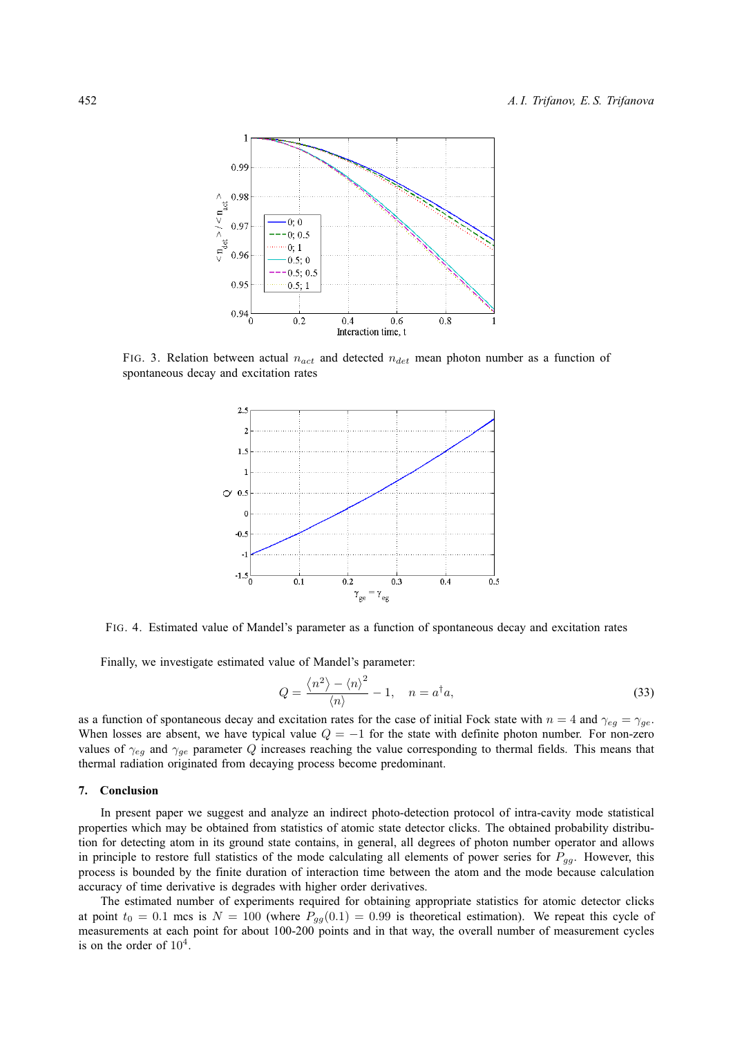

FIG. 3. Relation between actual  $n_{act}$  and detected  $n_{det}$  mean photon number as a function of spontaneous decay and excitation rates



FIG. 4. Estimated value of Mandel's parameter as a function of spontaneous decay and excitation rates

Finally, we investigate estimated value of Mandel's parameter:

$$
Q = \frac{\langle n^2 \rangle - \langle n \rangle^2}{\langle n \rangle} - 1, \quad n = a^\dagger a,\tag{33}
$$

as a function of spontaneous decay and excitation rates for the case of initial Fock state with  $n = 4$  and  $\gamma_{eg} = \gamma_{ge}$ . When losses are absent, we have typical value  $Q = -1$  for the state with definite photon number. For non-zero values of  $\gamma_{eq}$  and  $\gamma_{qe}$  parameter Q increases reaching the value corresponding to thermal fields. This means that thermal radiation originated from decaying process become predominant.

#### **7. Conclusion**

In present paper we suggest and analyze an indirect photo-detection protocol of intra-cavity mode statistical properties which may be obtained from statistics of atomic state detector clicks. The obtained probability distribution for detecting atom in its ground state contains, in general, all degrees of photon number operator and allows in principle to restore full statistics of the mode calculating all elements of power series for  $P_{gg}$ . However, this process is bounded by the finite duration of interaction time between the atom and the mode because calculation accuracy of time derivative is degrades with higher order derivatives.

The estimated number of experiments required for obtaining appropriate statistics for atomic detector clicks at point  $t_0 = 0.1$  mcs is  $N = 100$  (where  $P_{gg}(0.1) = 0.99$  is theoretical estimation). We repeat this cycle of measurements at each point for about 100-200 points and in that way, the overall number of measurement cycles is on the order of  $10^4$ .